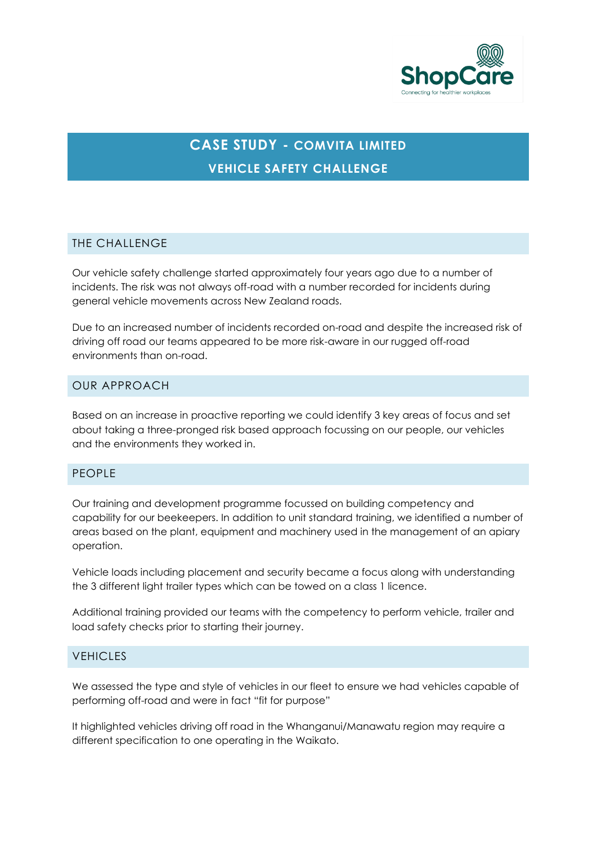

# **CASE STUDY - COMVITA LIMITED VEHICLE SAFETY CHALLENGE**

## THE CHALLENGE

Our vehicle safety challenge started approximately four years ago due to a number of incidents. The risk was not always off-road with a number recorded for incidents during general vehicle movements across New Zealand roads.

Due to an increased number of incidents recorded on-road and despite the increased risk of driving off road our teams appeared to be more risk-aware in our rugged off-road environments than on-road.

### OUR APPROACH

Based on an increase in proactive reporting we could identify 3 key areas of focus and set about taking a three-pronged risk based approach focussing on our people, our vehicles and the environments they worked in.

#### PEOPLE

Our training and development programme focussed on building competency and capability for our beekeepers. In addition to unit standard training, we identified a number of areas based on the plant, equipment and machinery used in the management of an apiary operation.

Vehicle loads including placement and security became a focus along with understanding the 3 different light trailer types which can be towed on a class 1 licence.

Additional training provided our teams with the competency to perform vehicle, trailer and load safety checks prior to starting their journey.

#### **VEHICLES**

We assessed the type and style of vehicles in our fleet to ensure we had vehicles capable of performing off-road and were in fact "fit for purpose"

It highlighted vehicles driving off road in the Whanganui/Manawatu region may require a different specification to one operating in the Waikato.